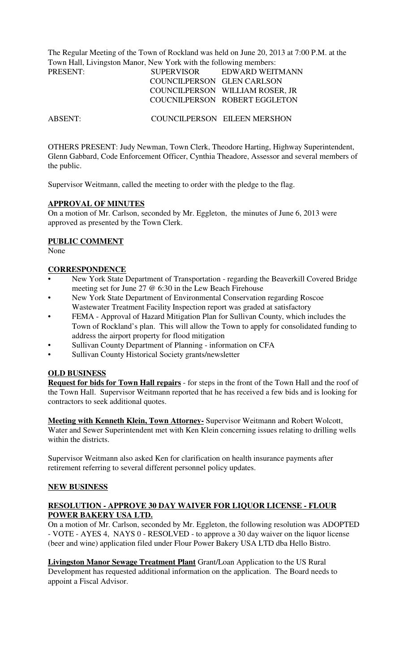The Regular Meeting of the Town of Rockland was held on June 20, 2013 at 7:00 P.M. at the Town Hall, Livingston Manor, New York with the following members:

| PRESENT: | <b>SUPERVISOR</b>          | EDWARD WEITMANN                 |
|----------|----------------------------|---------------------------------|
|          | COUNCILPERSON GLEN CARLSON |                                 |
|          |                            | COUNCILPERSON WILLIAM ROSER, JR |
|          |                            | COUCNILPERSON ROBERT EGGLETON   |
|          |                            |                                 |

ABSENT: COUNCILPERSON EILEEN MERSHON

OTHERS PRESENT: Judy Newman, Town Clerk, Theodore Harting, Highway Superintendent, Glenn Gabbard, Code Enforcement Officer, Cynthia Theadore, Assessor and several members of the public.

Supervisor Weitmann, called the meeting to order with the pledge to the flag.

#### **APPROVAL OF MINUTES**

On a motion of Mr. Carlson, seconded by Mr. Eggleton, the minutes of June 6, 2013 were approved as presented by the Town Clerk.

### **PUBLIC COMMENT**

None

#### **CORRESPONDENCE**

- New York State Department of Transportation regarding the Beaverkill Covered Bridge meeting set for June 27 @ 6:30 in the Lew Beach Firehouse
- New York State Department of Environmental Conservation regarding Roscoe Wastewater Treatment Facility Inspection report was graded at satisfactory
- FEMA Approval of Hazard Mitigation Plan for Sullivan County, which includes the Town of Rockland's plan. This will allow the Town to apply for consolidated funding to address the airport property for flood mitigation
- Sullivan County Department of Planning information on CFA
- Sullivan County Historical Society grants/newsletter

#### **OLD BUSINESS**

**Request for bids for Town Hall repairs** - for steps in the front of the Town Hall and the roof of the Town Hall. Supervisor Weitmann reported that he has received a few bids and is looking for contractors to seek additional quotes.

**Meeting with Kenneth Klein, Town Attorney-** Supervisor Weitmann and Robert Wolcott, Water and Sewer Superintendent met with Ken Klein concerning issues relating to drilling wells within the districts.

Supervisor Weitmann also asked Ken for clarification on health insurance payments after retirement referring to several different personnel policy updates.

#### **NEW BUSINESS**

### **RESOLUTION - APPROVE 30 DAY WAIVER FOR LIQUOR LICENSE - FLOUR POWER BAKERY USA LTD.**

On a motion of Mr. Carlson, seconded by Mr. Eggleton, the following resolution was ADOPTED - VOTE - AYES 4, NAYS 0 - RESOLVED - to approve a 30 day waiver on the liquor license (beer and wine) application filed under Flour Power Bakery USA LTD dba Hello Bistro.

**Livingston Manor Sewage Treatment Plant** Grant/Loan Application to the US Rural Development has requested additional information on the application. The Board needs to appoint a Fiscal Advisor.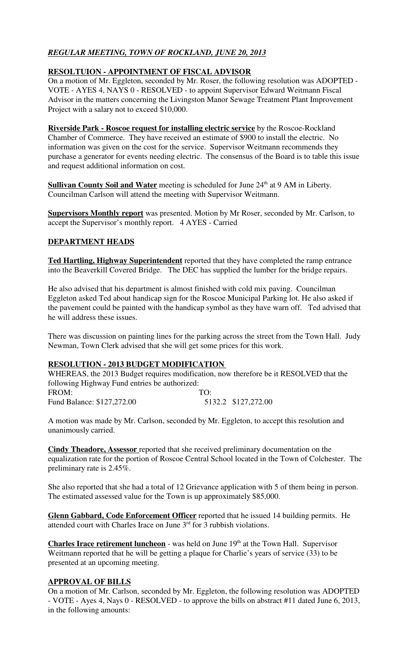# *REGULAR MEETING, TOWN OF ROCKLAND, JUNE 20, 2013*

## **RESOLTUION - APPOINTMENT OF FISCAL ADVISOR**

On a motion of Mr. Eggleton, seconded by Mr. Roser, the following resolution was ADOPTED - VOTE - AYES 4, NAYS 0 - RESOLVED - to appoint Supervisor Edward Weitmann Fiscal Advisor in the matters concerning the Livingston Manor Sewage Treatment Plant Improvement Project with a salary not to exceed \$10,000.

**Riverside Park - Roscoe request for installing electric service** by the Roscoe-Rockland Chamber of Commerce. They have received an estimate of \$900 to install the electric. No information was given on the cost for the service. Supervisor Weitmann recommends they purchase a generator for events needing electric. The consensus of the Board is to table this issue and request additional information on cost.

**Sullivan County Soil and Water** meeting is scheduled for June 24<sup>th</sup> at 9 AM in Liberty. Councilman Carlson will attend the meeting with Supervisor Weitmann.

**Supervisors Monthly report** was presented. Motion by Mr Roser, seconded by Mr. Carlson, to accept the Supervisor's monthly report. 4 AYES - Carried

### **DEPARTMENT HEADS**

**Ted Hartling, Highway Superintendent** reported that they have completed the ramp entrance into the Beaverkill Covered Bridge. The DEC has supplied the lumber for the bridge repairs.

He also advised that his department is almost finished with cold mix paving. Councilman Eggleton asked Ted about handicap sign for the Roscoe Municipal Parking lot. He also asked if the pavement could be painted with the handicap symbol as they have warn off. Ted advised that he will address these issues.

There was discussion on painting lines for the parking across the street from the Town Hall. Judy Newman, Town Clerk advised that she will get some prices for this work.

# **RESOLUTION - 2013 BUDGET MODIFICATION**

WHEREAS, the 2013 Budget requires modification, now therefore be it RESOLVED that the following Highway Fund entries be authorized: FROM: TO: Fund Balance: \$127,272.00 5132.2 \$127,272.00

A motion was made by Mr. Carlson, seconded by Mr. Eggleton, to accept this resolution and unanimously carried.

**Cindy Theadore, Assessor** reported that she received preliminary documentation on the equalization rate for the portion of Roscoe Central School located in the Town of Colchester. The preliminary rate is 2.45%.

She also reported that she had a total of 12 Grievance application with 5 of them being in person. The estimated assessed value for the Town is up approximately \$85,000.

**Glenn Gabbard, Code Enforcement Officer** reported that he issued 14 building permits. He attended court with Charles Irace on June  $3<sup>rd</sup>$  for  $\overline{3}$  rubbish violations.

**Charles Irace retirement luncheon** - was held on June 19<sup>th</sup> at the Town Hall. Supervisor Weitmann reported that he will be getting a plaque for Charlie's years of service (33) to be presented at an upcoming meeting.

### **APPROVAL OF BILLS**

On a motion of Mr. Carlson, seconded by Mr. Eggleton, the following resolution was ADOPTED - VOTE - Ayes 4, Nays 0 - RESOLVED - to approve the bills on abstract #11 dated June 6, 2013, in the following amounts: